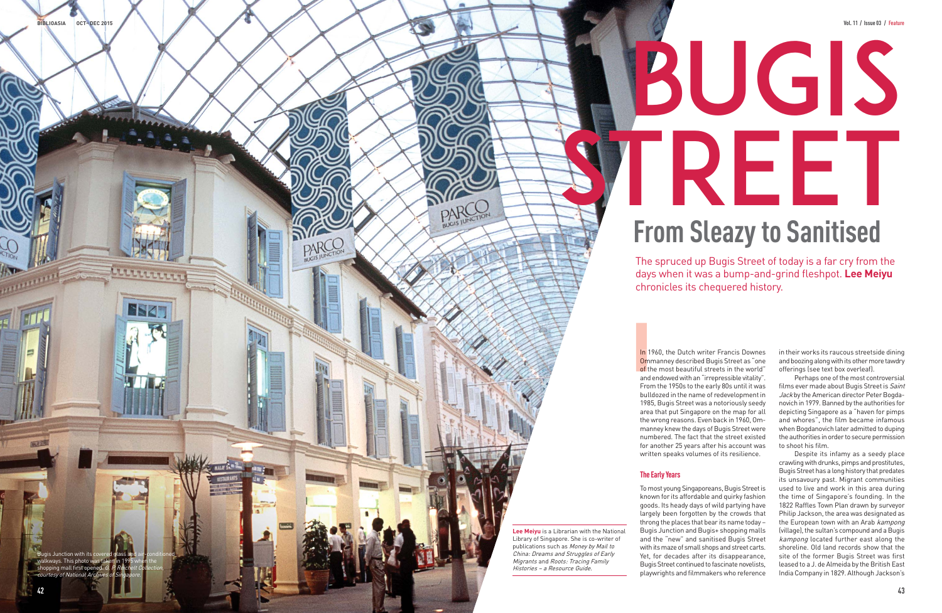

The spruced up Bugis Street of today is a far cry from the days when it was a bump-and-grind fleshpot. **Lee Meiyu**  chronicles its chequered history.



In 1960, the Dutch writer Francis Downes Ommanney described Bugis Street as "one Om of the most beautiful streets in the world" and endowed with an "irrepressible vitality". From the 1950s to the early 80s until it was bulldozed in the name of redevelopment in 1985, Bugis Street was a notoriously seedy area that put Singapore on the map for all the wrong reasons. Even back in 1960, Ommanney knew the days of Bugis Street were numbered. The fact that the street existed for another 25 years after his account was written speaks volumes of its resilience.

### **The Early Years**

To most young Singaporeans, Bugis Street is known for its affordable and quirky fashion goods. Its heady days of wild partying have largely been forgotten by the crowds that throng the places that bear its name today – Bugis Junction and Bugis+ shopping malls and the "new" and sanitised Bugis Street with its maze of small shops and street carts. Yet, for decades after its disappearance, Bugis Street continued to fascinate novelists, playwrights and filmmakers who reference in their works its raucous streetside dining and boozing along with its other more tawdry offerings (see text box overleaf).

**ESA** 

Perhaps one of the most controversial films ever made about Bugis Street is Saint Jack by the American director Peter Bogdanovich in 1979. Banned by the authorities for depicting Singapore as a "haven for pimps and whores", the film became infamous when Bogdanovich later admitted to duping the authorities in order to secure permission to shoot his film.

Despite its infamy as a seedy place crawling with drunks, pimps and prostitutes, Bugis Street has a long history that predates its unsavoury past. Migrant communities used to live and work in this area during the time of Singapore's founding. In the 1822 Raffles Town Plan drawn by surveyor Philip Jackson, the area was designated as the European town with an Arab kampong (village), the sultan's compound and a Bugis kampong located further east along the shoreline. Old land records show that the site of the former Bugis Street was first leased to a J. de Almeida by the British East India Company in 1829. Although Jackson's

**Lee Meiyu** is a Librarian with the National Library of Singapore. She is co-writer of publications such as Money by Mail to China: Dreams and Struggles of Early Migrants and Roots: Tracing Family Histories – a Resource Guide.

# **From Sleazy to Sanitised**

**42**

**BIBLIOASIA OCT– DEC 2015**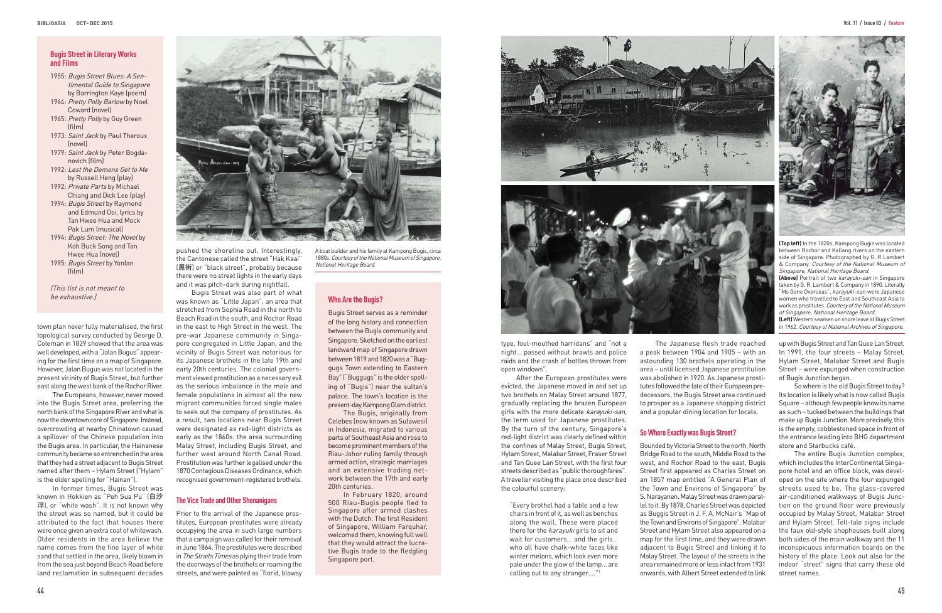town plan never fully materialised, the first topological survey conducted by George D. Coleman in 1829 showed that the area was well developed, with a "Jalan Bugus" appearing for the first time on a map of Singapore. However, Jalan Bugus was not located in the present vicinity of Bugis Street, but further east along the west bank of the Rochor River.

The Europeans, however, never moved into the Bugis Street area, preferring the north bank of the Singapore River and what is now the downtown core of Singapore. Instead, overcrowding at nearby Chinatown caused a spillover of the Chinese population into the Bugis area. In particular, the Hainanese community became so entrenched in the area that they had a street adjacent to Bugis Street named after them – Hylam Street ("Hylam" is the older spelling for "Hainan").

In former times, Bugis Street was known in Hokkien as "Peh Sua Pu" (白沙 浮), or "white wash". It is not known why the street was so named, but it could be attributed to the fact that houses there were once given an extra coat of whitewash. Older residents in the area believe the name comes from the fine layer of white sand that settled in the area, likely blown in from the sea just beyond Beach Road before land reclamation in subsequent decades



pushed the shoreline out. Interestingly, the Cantonese called the street "Hak Kaai" (黑街) or "black street", probably because there were no street lights in the early days and it was pitch-dark during nightfall.

Bugis Street was also part of what was known as "Little Japan", an area that be exhaustive.) **Who Are the Bugis?** stretched from Sophia Road in the north to Beach Road in the south, and Rochor Road in the east to High Street in the west. The pre-war Japanese community in Singapore congregated in Little Japan, and the vicinity of Bugis Street was notorious for its Japanese brothels in the late 19th and early 20th centuries. The colonial government viewed prostitution as a necessary evil as the serious imbalance in the male and female populations in almost all the new migrant communities forced single males to seek out the company of prostitutes. As a result, two locations near Bugis Street were designated as red-light districts as early as the 1860s: the area surrounding Malay Street, including Bugis Street, and further west around North Canal Road. Prostitution was further legalised under the 1870 Contagious Diseases Ordinance, which recognised government-registered brothels.

#### **The Vice Trade and Other Shenanigans**

Prior to the arrival of the Japanese prostitutes, European prostitutes were already occupying the area in such large numbers that a campaign was called for their removal in June 1864. The prostitutes were described in The Straits Times as plying their trade from the doorways of the brothels or roaming the streets, and were painted as "florid, blowsy

type, foul-mouthed harridans" and "not a night… passed without brawls and police raids and the crash of bottles thrown from open windows".

After the European prostitutes were evicted, the Japanese moved in and set up two brothels on Malay Street around 1877, gradually replacing the brazen European girls with the more delicate karayuki-san, the term used for Japanese prostitutes. By the turn of the century, Singapore's red-light district was clearly defined within the confines of Malay Street, Bugis Street, Hylam Street, Malabar Street, Fraser Street and Tan Quee Lan Street, with the first four streets described as "public thoroughfares". A traveller visiting the place once described the colourful scenery:

"Every brothel had a table and a few chairs in front of it, as well as benches along the wall. These were placed there for the karayuki girls to sit and wait for customers… and the girls… who all have chalk-white faces like winter melons, which look even more pale under the glow of the lamp… are calling out to any stranger…."1

The Japanese flesh trade reached a peak between 1904 and 1905 – with an astounding 130 brothels operating in the area – until licensed Japanese prostitution was abolished in 1920. As Japanese prostitutes followed the fate of their European predecessors, the Bugis Street area continued to prosper as a Japanese shopping district and a popular dining location for locals.

#### **So Where Exactly was Bugis Street?**

Bounded by Victoria Street to the north, North Bridge Road to the south, Middle Road to the west, and Rochor Road to the east, Bugis Street first appeared as Charles Street on an 1857 map entitled "A General Plan of the Town and Environs of Singapore" by S. Narayanen. Malay Street was drawn parallel to it. By 1878, Charles Street was depicted as Buggis Street in J. F. A. McNair's "Map of the Town and Environs of Singapore". Malabar Street and Hylam Street also appeared on a map for the first time, and they were drawn adjacent to Bugis Street and linking it to Malay Street. The layout of the streets in the area remained more or less intact from 1931 onwards, with Albert Street extended to link



#### **Bugis Street in Literary Works and Films**

- 1955: Bugis Street Blues: A Sentimental Guide to Singapore by Barrington Kaye (poem)
- 1964: Pretty Polly Barlow by Noel Coward (novel)
- 1965: Pretty Polly by Guy Green (film)
- 1973: Saint Jack by Paul Theroux (novel)
- 1979: Saint Jack by Peter Bogdanovich (film)
- 1992: Lest the Demons Get to Me by Russell Heng (play)
- 1992: Private Parts by Michael Chiang and Dick Lee (play)
- 1994: Bugis Street by Raymond and Edmund Ooi, lyrics by Tan Hwee Hua and Mock Pak Lum (musical)
- 1994: Bugis Street: The Novel by Koh Buck Song and Tan Hwee Hua (novel) 1995: Bugis Street by Yonfan
- (film)

(This list is not meant to

Bugis Street serves as a reminder of the long history and connection between the Bugis community and Singapore. Sketched on the earliest landward map of Singapore drawn between 1819 and 1820 was a "Buggugs Town extending to Eastern Bay" ("Buggugs" is the older spelling of "Bugis") near the sultan's palace. The town's location is the present-day Kampong Glam district.

The Bugis, originally from Celebes (now known as Sulawesi) in Indonesia, migrated to various parts of Southeast Asia and rose to become prominent members of the Riau-Johor ruling family through armed action, strategic marriages and an extensive trading network between the 17th and early 20th centuries.

In February 1820, around 500 Riau-Bugis people fled to Singapore after armed clashes with the Dutch. The first Resident of Singapore, William Farquhar, welcomed them, knowing full well that they would attract the lucrative Bugis trade to the fledgling Singapore port.





**(Top left)** In the 1820s, Kampong Bugis was located between Rochor and Kallang rivers on the eastern side of Singapore. Photographed by G. R Lambert & Company. Courtesy of the National Museum of Singapore, National Heritage Board.

**(Above)** Portrait of two karayuki-san in Singapore taken by G. R. Lambert & Company in 1890. Literally "Ms Gone Overseas", karayuki-san were Japanese women who travelled to East and Southeast Asia to work as prostitutes. Courtesy of the National Museum of Singapore, National Heritage Board.

**(Left)** Western seamen on shore leave at Bugis Street in 1962. Courtesy of National Archives of Singapore.

up with Bugis Street and Tan Quee Lan Street. In 1991, the four streets – Malay Street, Hylam Street, Malabar Street and Bugis Street – were expunged when construction of Bugis Junction began.

So where is the old Bugis Street today? Its location is likely what is now called Bugis Square – although few people know its name as such – tucked between the buildings that make up Bugis Junction. More precisely, this is the empty, cobblestoned space in front of the entrance leading into BHG department store and Starbucks café.

The entire Bugis Junction complex, which includes the InterContinental Singapore hotel and an office block, was developed on the site where the four expunged streets used to be. The glass-covered air-conditioned walkways of Bugis Junction on the ground floor were previously occupied by Malay Street, Malabar Street and Hylam Street. Tell-tale signs include the faux old-style shophouses built along both sides of the main walkway and the 11 inconspicuous information boards on the history of the place. Look out also for the indoor "street" signs that carry these old street names.

A boat builder and his family at Kampong Bugis, circa 1880s. Courtesy of the National Museum of Singapore, National Heritage Board.